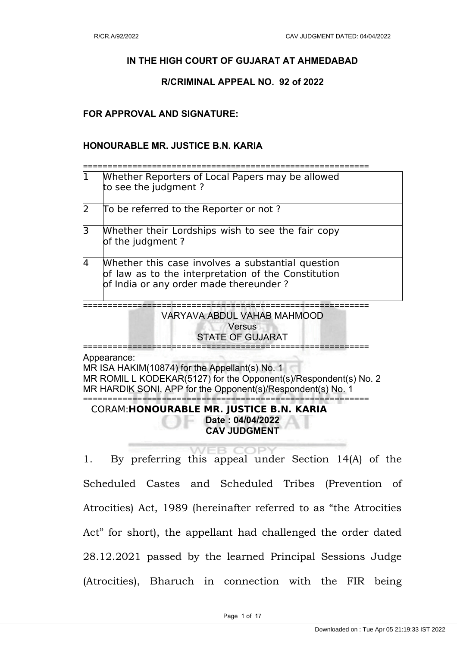# **IN THE HIGH COURT OF GUJARAT AT AHMEDABAD**

#### **R/CRIMINAL APPEAL NO. 92 of 2022**

### **FOR APPROVAL AND SIGNATURE:**

### **HONOURABLE MR. JUSTICE B.N. KARIA**

==========================================================

| 1           | Whether Reporters of Local Papers may be allowed<br>to see the judgment?                                                                           |  |
|-------------|----------------------------------------------------------------------------------------------------------------------------------------------------|--|
| 2           | To be referred to the Reporter or not?                                                                                                             |  |
| $\mathsf B$ | Whether their Lordships wish to see the fair copy<br>of the judgment?                                                                              |  |
| 14          | Whether this case involves a substantial question<br>of law as to the interpretation of the Constitution<br>of India or any order made thereunder? |  |

========================================================== VARYAVA ABDUL VAHAB MAHMOOD **Versus** STATE OF GUJARAT ==========================================================

Appearance:

MR ISA HAKIM(10874) for the Appellant(s) No. 1 MR ROMIL L KODEKAR(5127) for the Opponent(s)/Respondent(s) No. 2 MR HARDIK SONI, APP for the Opponent(s)/Respondent(s) No. 1 ==========================================================

CORAM:**HONOURABLE MR. JUSTICE B.N. KARIA Date : 04/04/2022 CAV JUDGMENT**

**VEB COPY** 1. By preferring this appeal under Section 14(A) of the Scheduled Castes and Scheduled Tribes (Prevention of Atrocities) Act, 1989 (hereinafter referred to as "the Atrocities Act" for short), the appellant had challenged the order dated 28.12.2021 passed by the learned Principal Sessions Judge (Atrocities), Bharuch in connection with the FIR being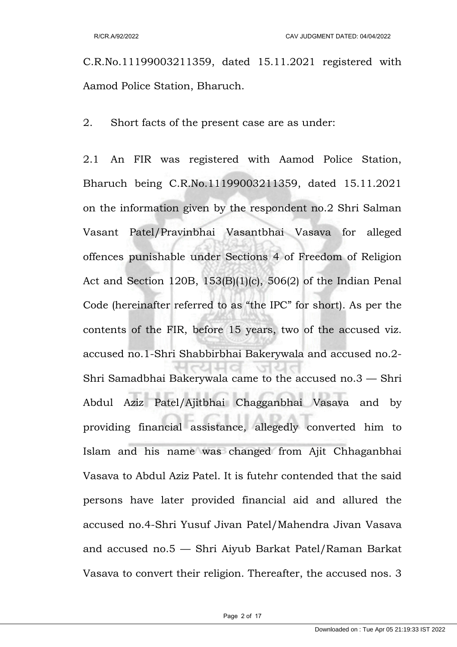C.R.No.11199003211359, dated 15.11.2021 registered with Aamod Police Station, Bharuch.

2. Short facts of the present case are as under:

2.1 An FIR was registered with Aamod Police Station, Bharuch being C.R.No.11199003211359, dated 15.11.2021 on the information given by the respondent no.2 Shri Salman Vasant Patel/Pravinbhai Vasantbhai Vasava for alleged offences punishable under Sections 4 of Freedom of Religion Act and Section 120B, 153(B)(1)(c), 506(2) of the Indian Penal Code (hereinafter referred to as "the IPC" for short). As per the contents of the FIR, before 15 years, two of the accused viz. accused no.1-Shri Shabbirbhai Bakerywala and accused no.2- Shri Samadbhai Bakerywala came to the accused no.3 — Shri Abdul Aziz Patel/Ajitbhai Chagganbhai Vasava and by providing financial assistance, allegedly converted him to Islam and his name was changed from Ajit Chhaganbhai Vasava to Abdul Aziz Patel. It is futehr contended that the said persons have later provided financial aid and allured the accused no.4-Shri Yusuf Jivan Patel/Mahendra Jivan Vasava and accused no.5 — Shri Aiyub Barkat Patel/Raman Barkat Vasava to convert their religion. Thereafter, the accused nos. 3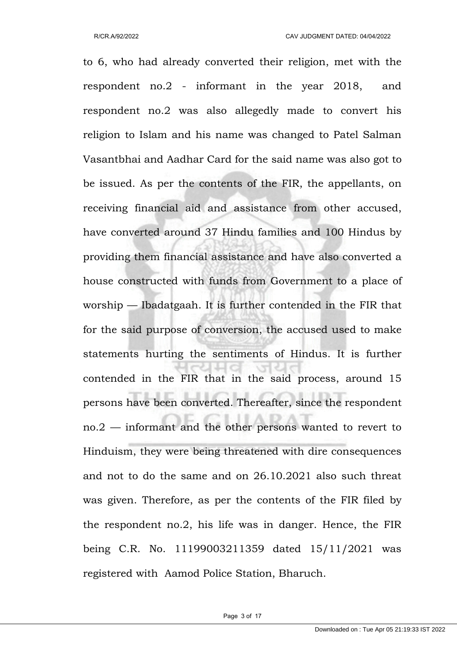to 6, who had already converted their religion, met with the respondent no.2 - informant in the year 2018, and respondent no.2 was also allegedly made to convert his religion to Islam and his name was changed to Patel Salman Vasantbhai and Aadhar Card for the said name was also got to be issued. As per the contents of the FIR, the appellants, on receiving financial aid and assistance from other accused, have converted around 37 Hindu families and 100 Hindus by providing them financial assistance and have also converted a house constructed with funds from Government to a place of worship — Ibadatgaah. It is further contended in the FIR that for the said purpose of conversion, the accused used to make statements hurting the sentiments of Hindus. It is further contended in the FIR that in the said process, around 15 persons have been converted. Thereafter, since the respondent no.2 — informant and the other persons wanted to revert to Hinduism, they were being threatened with dire consequences and not to do the same and on 26.10.2021 also such threat was given. Therefore, as per the contents of the FIR filed by the respondent no.2, his life was in danger. Hence, the FIR being C.R. No. 11199003211359 dated 15/11/2021 was registered with Aamod Police Station, Bharuch.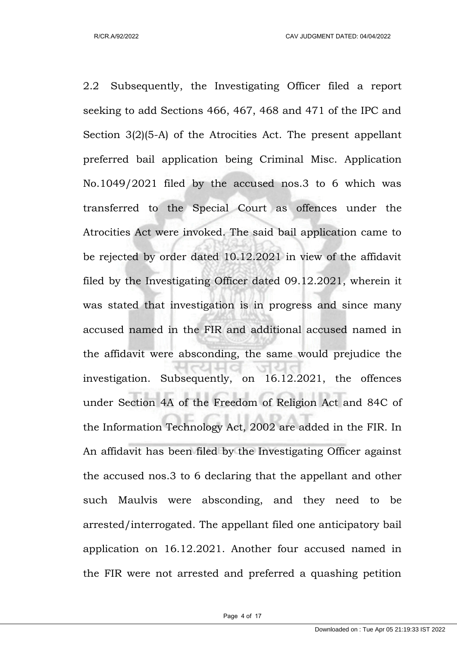R/CR.A/92/2022 CAV JUDGMENT DATED: 04/04/2022

2.2 Subsequently, the Investigating Officer filed a report seeking to add Sections 466, 467, 468 and 471 of the IPC and Section 3(2)(5-A) of the Atrocities Act. The present appellant preferred bail application being Criminal Misc. Application No.1049/2021 filed by the accused nos.3 to 6 which was transferred to the Special Court as offences under the Atrocities Act were invoked. The said bail application came to be rejected by order dated 10.12.2021 in view of the affidavit filed by the Investigating Officer dated 09.12.2021, wherein it was stated that investigation is in progress and since many accused named in the FIR and additional accused named in the affidavit were absconding, the same would prejudice the investigation. Subsequently, on 16.12.2021, the offences under Section 4A of the Freedom of Religion Act and 84C of the Information Technology Act, 2002 are added in the FIR. In An affidavit has been filed by the Investigating Officer against the accused nos.3 to 6 declaring that the appellant and other such Maulvis were absconding, and they need to be arrested/interrogated. The appellant filed one anticipatory bail application on 16.12.2021. Another four accused named in the FIR were not arrested and preferred a quashing petition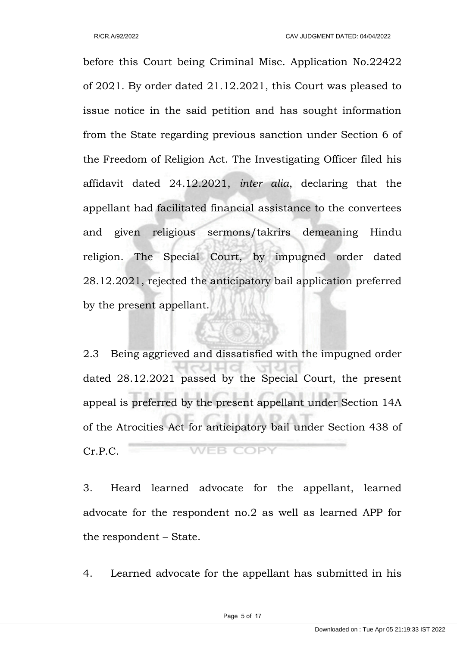before this Court being Criminal Misc. Application No.22422 of 2021. By order dated 21.12.2021, this Court was pleased to issue notice in the said petition and has sought information from the State regarding previous sanction under Section 6 of the Freedom of Religion Act. The Investigating Officer filed his affidavit dated 24.12.2021, *inter alia*, declaring that the appellant had facilitated financial assistance to the convertees and given religious sermons/takrirs demeaning Hindu religion. The Special Court, by impugned order dated 28.12.2021, rejected the anticipatory bail application preferred by the present appellant.

2.3 Being aggrieved and dissatisfied with the impugned order dated 28.12.2021 passed by the Special Court, the present appeal is preferred by the present appellant under Section 14A of the Atrocities Act for anticipatory bail under Section 438 of **WEB COPY** Cr.P.C.

3. Heard learned advocate for the appellant, learned advocate for the respondent no.2 as well as learned APP for the respondent – State.

4. Learned advocate for the appellant has submitted in his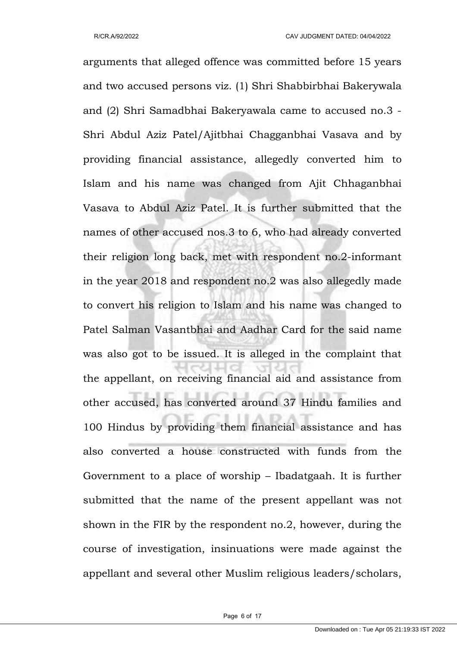arguments that alleged offence was committed before 15 years and two accused persons viz. (1) Shri Shabbirbhai Bakerywala and (2) Shri Samadbhai Bakeryawala came to accused no.3 - Shri Abdul Aziz Patel/Ajitbhai Chagganbhai Vasava and by providing financial assistance, allegedly converted him to Islam and his name was changed from Ajit Chhaganbhai Vasava to Abdul Aziz Patel. It is further submitted that the names of other accused nos.3 to 6, who had already converted their religion long back, met with respondent no.2-informant in the year 2018 and respondent no.2 was also allegedly made to convert his religion to Islam and his name was changed to Patel Salman Vasantbhai and Aadhar Card for the said name was also got to be issued. It is alleged in the complaint that the appellant, on receiving financial aid and assistance from other accused, has converted around 37 Hindu families and 100 Hindus by providing them financial assistance and has also converted a house constructed with funds from the Government to a place of worship – Ibadatgaah. It is further submitted that the name of the present appellant was not shown in the FIR by the respondent no.2, however, during the course of investigation, insinuations were made against the appellant and several other Muslim religious leaders/scholars,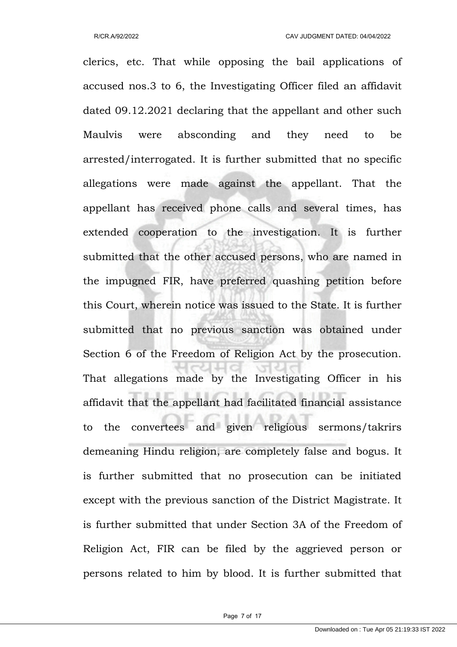clerics, etc. That while opposing the bail applications of accused nos.3 to 6, the Investigating Officer filed an affidavit dated 09.12.2021 declaring that the appellant and other such Maulvis were absconding and they need to be arrested/interrogated. It is further submitted that no specific allegations were made against the appellant. That the appellant has received phone calls and several times, has extended cooperation to the investigation. It is further submitted that the other accused persons, who are named in the impugned FIR, have preferred quashing petition before this Court, wherein notice was issued to the State. It is further submitted that no previous sanction was obtained under Section 6 of the Freedom of Religion Act by the prosecution. That allegations made by the Investigating Officer in his affidavit that the appellant had facilitated financial assistance to the convertees and given religious sermons/takrirs demeaning Hindu religion, are completely false and bogus. It is further submitted that no prosecution can be initiated except with the previous sanction of the District Magistrate. It is further submitted that under Section 3A of the Freedom of Religion Act, FIR can be filed by the aggrieved person or persons related to him by blood. It is further submitted that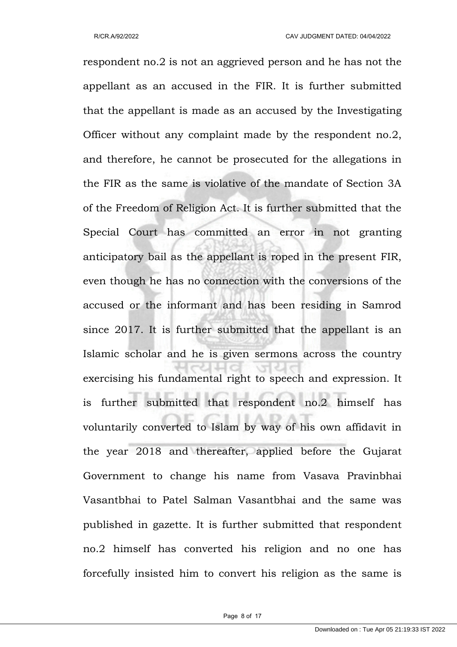respondent no.2 is not an aggrieved person and he has not the appellant as an accused in the FIR. It is further submitted that the appellant is made as an accused by the Investigating Officer without any complaint made by the respondent no.2, and therefore, he cannot be prosecuted for the allegations in the FIR as the same is violative of the mandate of Section 3A of the Freedom of Religion Act. It is further submitted that the Special Court has committed an error in not granting anticipatory bail as the appellant is roped in the present FIR, even though he has no connection with the conversions of the accused or the informant and has been residing in Samrod since 2017. It is further submitted that the appellant is an Islamic scholar and he is given sermons across the country exercising his fundamental right to speech and expression. It is further submitted that respondent no.2 himself has voluntarily converted to Islam by way of his own affidavit in the year 2018 and thereafter, applied before the Gujarat Government to change his name from Vasava Pravinbhai Vasantbhai to Patel Salman Vasantbhai and the same was published in gazette. It is further submitted that respondent no.2 himself has converted his religion and no one has forcefully insisted him to convert his religion as the same is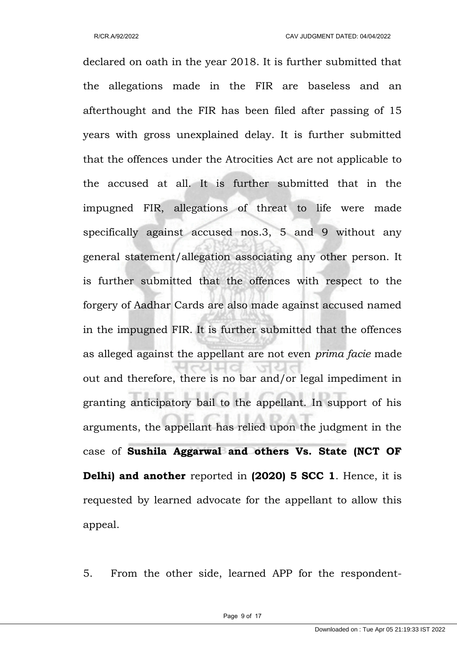declared on oath in the year 2018. It is further submitted that the allegations made in the FIR are baseless and an afterthought and the FIR has been filed after passing of 15 years with gross unexplained delay. It is further submitted that the offences under the Atrocities Act are not applicable to the accused at all. It is further submitted that in the impugned FIR, allegations of threat to life were made specifically against accused nos.3, 5 and 9 without any general statement/allegation associating any other person. It is further submitted that the offences with respect to the forgery of Aadhar Cards are also made against accused named in the impugned FIR. It is further submitted that the offences as alleged against the appellant are not even *prima facie* made out and therefore, there is no bar and/or legal impediment in granting anticipatory bail to the appellant. In support of his arguments, the appellant has relied upon the judgment in the case of **Sushila Aggarwal and others Vs. State (NCT OF Delhi) and another** reported in **(2020) 5 SCC 1**. Hence, it is requested by learned advocate for the appellant to allow this appeal.

5. From the other side, learned APP for the respondent-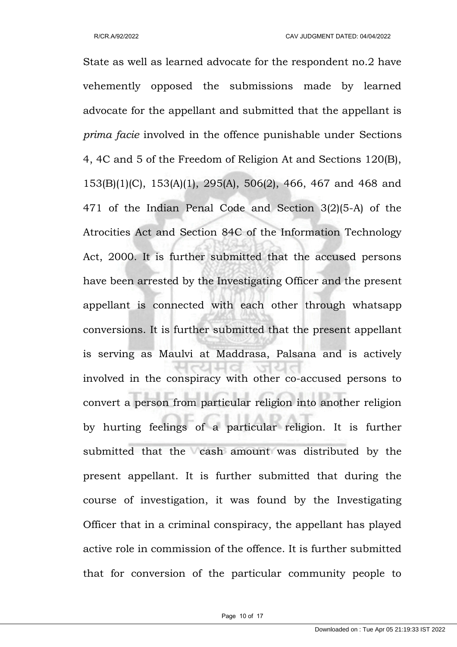State as well as learned advocate for the respondent no.2 have vehemently opposed the submissions made by learned advocate for the appellant and submitted that the appellant is *prima facie* involved in the offence punishable under Sections 4, 4C and 5 of the Freedom of Religion At and Sections 120(B), 153(B)(1)(C), 153(A)(1), 295(A), 506(2), 466, 467 and 468 and 471 of the Indian Penal Code and Section 3(2)(5-A) of the Atrocities Act and Section 84C of the Information Technology Act, 2000. It is further submitted that the accused persons have been arrested by the Investigating Officer and the present appellant is connected with each other through whatsapp conversions. It is further submitted that the present appellant is serving as Maulvi at Maddrasa, Palsana and is actively involved in the conspiracy with other co-accused persons to convert a person from particular religion into another religion by hurting feelings of a particular religion. It is further submitted that the cash amount was distributed by the present appellant. It is further submitted that during the course of investigation, it was found by the Investigating Officer that in a criminal conspiracy, the appellant has played active role in commission of the offence. It is further submitted that for conversion of the particular community people to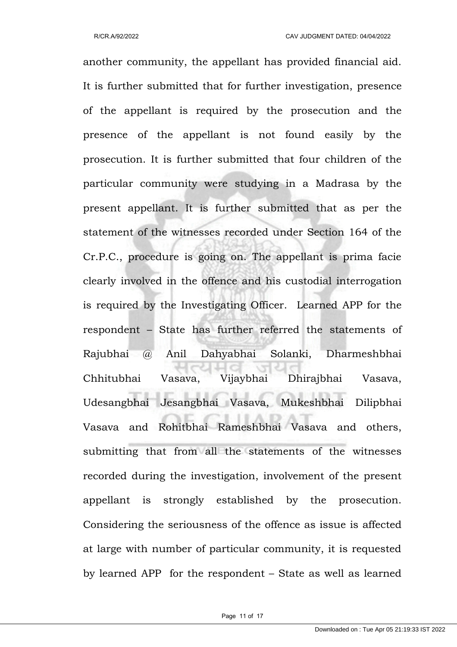another community, the appellant has provided financial aid. It is further submitted that for further investigation, presence of the appellant is required by the prosecution and the presence of the appellant is not found easily by the prosecution. It is further submitted that four children of the particular community were studying in a Madrasa by the present appellant. It is further submitted that as per the statement of the witnesses recorded under Section 164 of the Cr.P.C., procedure is going on. The appellant is prima facie clearly involved in the offence and his custodial interrogation is required by the Investigating Officer. Learned APP for the respondent – State has further referred the statements of Rajubhai @ Anil Dahyabhai Solanki, Dharmeshbhai Chhitubhai Vasava, Vijaybhai Dhirajbhai Vasava, Udesangbhai Jesangbhai Vasava, Mukeshbhai Dilipbhai Vasava and Rohitbhai Rameshbhai Vasava and others, submitting that from all the statements of the witnesses recorded during the investigation, involvement of the present appellant is strongly established by the prosecution. Considering the seriousness of the offence as issue is affected at large with number of particular community, it is requested by learned APP for the respondent – State as well as learned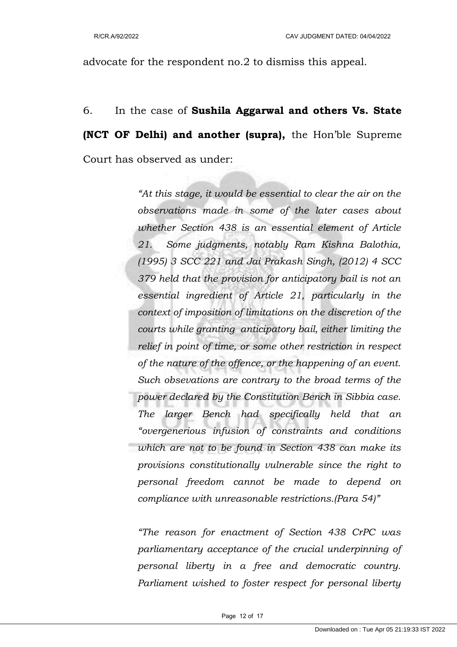advocate for the respondent no.2 to dismiss this appeal.

6. In the case of **Sushila Aggarwal and others Vs. State (NCT OF Delhi) and another (supra),** the Hon'ble Supreme Court has observed as under:

> *"At this stage, it would be essential to clear the air on the observations made in some of the later cases about whether Section 438 is an essential element of Article 21. Some judgments, notably Ram Kishna Balothia, (1995) 3 SCC 221 and Jai Prakash Singh, (2012) 4 SCC 379 held that the provision for anticipatory bail is not an essential ingredient of Article 21, particularly in the context of imposition of limitations on the discretion of the courts while granting anticipatory bail, either limiting the relief in point of time, or some other restriction in respect of the nature of the offence, or the happening of an event. Such obsevations are contrary to the broad terms of the power declared by the Constitution Bench in Sibbia case. The larger Bench had specifically held that an "overgenerious infusion of constraints and conditions which are not to be found in Section 438 can make its provisions constitutionally vulnerable since the right to personal freedom cannot be made to depend on compliance with unreasonable restrictions.(Para 54)"*

> *"The reason for enactment of Section 438 CrPC was parliamentary acceptance of the crucial underpinning of personal liberty in a free and democratic country. Parliament wished to foster respect for personal liberty*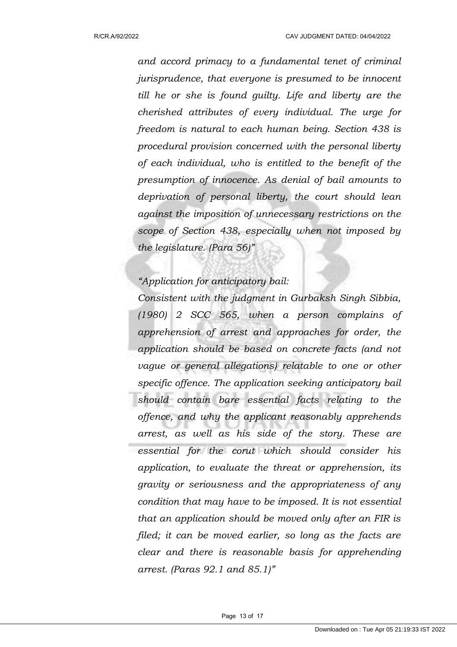*and accord primacy to a fundamental tenet of criminal jurisprudence, that everyone is presumed to be innocent till he or she is found guilty. Life and liberty are the cherished attributes of every individual. The urge for freedom is natural to each human being. Section 438 is procedural provision concerned with the personal liberty of each individual, who is entitled to the benefit of the presumption of innocence. As denial of bail amounts to deprivation of personal liberty, the court should lean against the imposition of unnecessary restrictions on the scope of Section 438, especially when not imposed by the legislature. (Para 56)"* 

## *"Application for anticipatory bail:*

*Consistent with the judgment in Gurbaksh Singh Sibbia, (1980) 2 SCC 565, when a person complains of apprehension of arrest and approaches for order, the application should be based on concrete facts (and not vague or general allegations) relatable to one or other specific offence. The application seeking anticipatory bail should contain bare essential facts relating to the offence, and why the applicant reasonably apprehends arrest, as well as his side of the story. These are essential for the corut which should consider his application, to evaluate the threat or apprehension, its gravity or seriousness and the appropriateness of any condition that may have to be imposed. It is not essential that an application should be moved only after an FIR is filed; it can be moved earlier, so long as the facts are clear and there is reasonable basis for apprehending arrest. (Paras 92.1 and 85.1)"*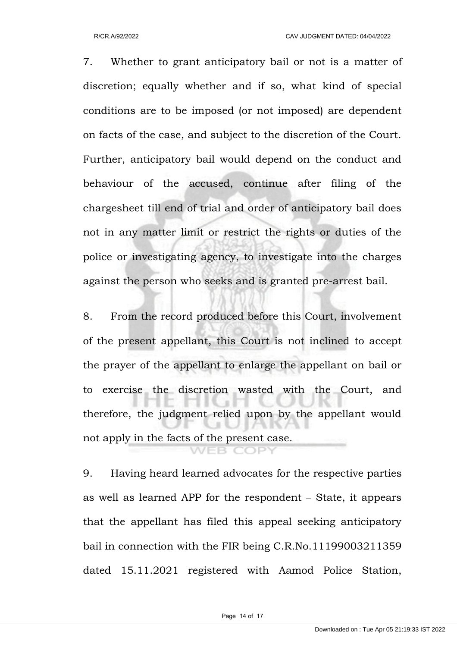7. Whether to grant anticipatory bail or not is a matter of discretion; equally whether and if so, what kind of special conditions are to be imposed (or not imposed) are dependent on facts of the case, and subject to the discretion of the Court. Further, anticipatory bail would depend on the conduct and behaviour of the accused, continue after filing of the chargesheet till end of trial and order of anticipatory bail does not in any matter limit or restrict the rights or duties of the police or investigating agency, to investigate into the charges against the person who seeks and is granted pre-arrest bail.

8. From the record produced before this Court, involvement of the present appellant, this Court is not inclined to accept the prayer of the appellant to enlarge the appellant on bail or to exercise the discretion wasted with the Court, and therefore, the judgment relied upon by the appellant would not apply in the facts of the present case.

9. Having heard learned advocates for the respective parties as well as learned APP for the respondent – State, it appears that the appellant has filed this appeal seeking anticipatory bail in connection with the FIR being C.R.No.11199003211359 dated 15.11.2021 registered with Aamod Police Station,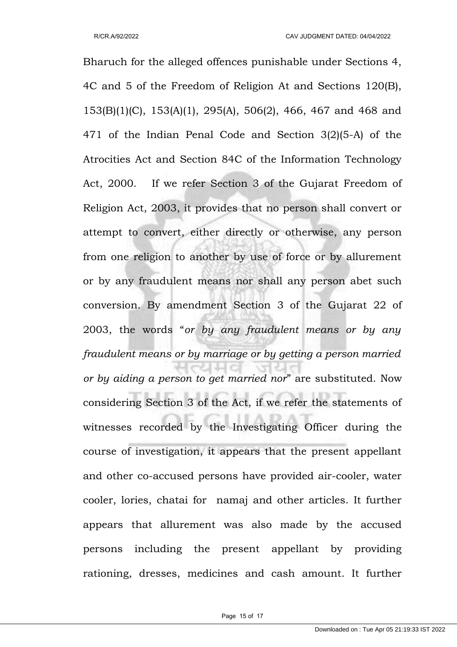Bharuch for the alleged offences punishable under Sections 4, 4C and 5 of the Freedom of Religion At and Sections 120(B), 153(B)(1)(C), 153(A)(1), 295(A), 506(2), 466, 467 and 468 and 471 of the Indian Penal Code and Section 3(2)(5-A) of the Atrocities Act and Section 84C of the Information Technology Act, 2000. If we refer Section 3 of the Gujarat Freedom of Religion Act, 2003, it provides that no person shall convert or attempt to convert, either directly or otherwise, any person from one religion to another by use of force or by allurement or by any fraudulent means nor shall any person abet such conversion. By amendment Section 3 of the Gujarat 22 of 2003, the words "*or by any fraudulent means or by any fraudulent means or by marriage or by getting a person married or by aiding a person to get married nor*" are substituted. Now considering Section 3 of the Act, if we refer the statements of witnesses recorded by the Investigating Officer during the course of investigation, it appears that the present appellant and other co-accused persons have provided air-cooler, water cooler, lories, chatai for namaj and other articles. It further appears that allurement was also made by the accused persons including the present appellant by providing rationing, dresses, medicines and cash amount. It further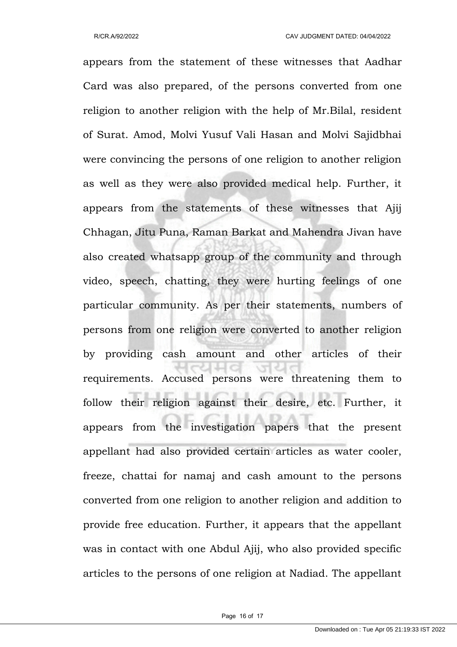appears from the statement of these witnesses that Aadhar Card was also prepared, of the persons converted from one religion to another religion with the help of Mr.Bilal, resident of Surat. Amod, Molvi Yusuf Vali Hasan and Molvi Sajidbhai were convincing the persons of one religion to another religion as well as they were also provided medical help. Further, it appears from the statements of these witnesses that Ajij Chhagan, Jitu Puna, Raman Barkat and Mahendra Jivan have also created whatsapp group of the community and through video, speech, chatting, they were hurting feelings of one particular community. As per their statements, numbers of persons from one religion were converted to another religion by providing cash amount and other articles of their requirements. Accused persons were threatening them to follow their religion against their desire, etc. Further, it appears from the investigation papers that the present appellant had also provided certain articles as water cooler, freeze, chattai for namaj and cash amount to the persons converted from one religion to another religion and addition to provide free education. Further, it appears that the appellant was in contact with one Abdul Ajij, who also provided specific articles to the persons of one religion at Nadiad. The appellant